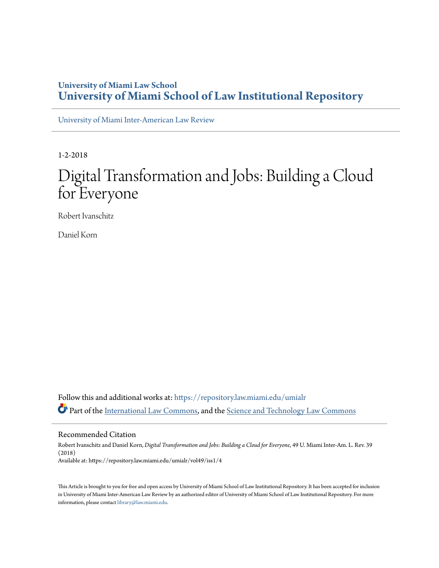## **University of Miami Law School [University of Miami School of Law Institutional Repository](https://repository.law.miami.edu?utm_source=repository.law.miami.edu%2Fumialr%2Fvol49%2Fiss1%2F4&utm_medium=PDF&utm_campaign=PDFCoverPages)**

[University of Miami Inter-American Law Review](https://repository.law.miami.edu/umialr?utm_source=repository.law.miami.edu%2Fumialr%2Fvol49%2Fiss1%2F4&utm_medium=PDF&utm_campaign=PDFCoverPages)

1-2-2018

## Digital Transformation and Jobs: Building a Cloud for Everyone

Robert Ivanschitz

Daniel Korn

Follow this and additional works at: [https://repository.law.miami.edu/umialr](https://repository.law.miami.edu/umialr?utm_source=repository.law.miami.edu%2Fumialr%2Fvol49%2Fiss1%2F4&utm_medium=PDF&utm_campaign=PDFCoverPages) Part of the [International Law Commons,](http://network.bepress.com/hgg/discipline/609?utm_source=repository.law.miami.edu%2Fumialr%2Fvol49%2Fiss1%2F4&utm_medium=PDF&utm_campaign=PDFCoverPages) and the [Science and Technology Law Commons](http://network.bepress.com/hgg/discipline/875?utm_source=repository.law.miami.edu%2Fumialr%2Fvol49%2Fiss1%2F4&utm_medium=PDF&utm_campaign=PDFCoverPages)

Recommended Citation

Robert Ivanschitz and Daniel Korn, *Digital Transformation and Jobs: Building a Cloud for Everyone*, 49 U. Miami Inter-Am. L. Rev. 39 (2018) Available at: https://repository.law.miami.edu/umialr/vol49/iss1/4

This Article is brought to you for free and open access by University of Miami School of Law Institutional Repository. It has been accepted for inclusion in University of Miami Inter-American Law Review by an authorized editor of University of Miami School of Law Institutional Repository. For more information, please contact [library@law.miami.edu.](mailto:library@law.miami.edu)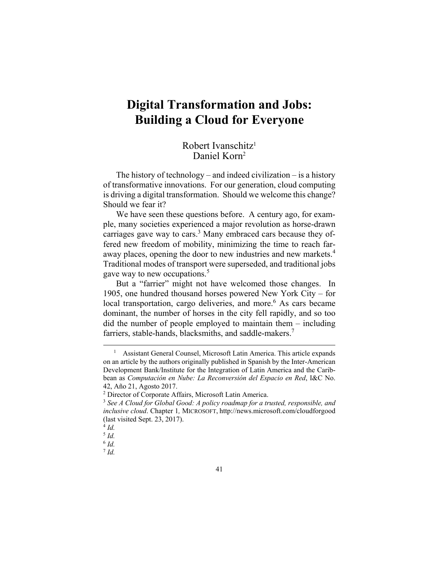## **Digital Transformation and Jobs: Building a Cloud for Everyone**

## Robert Ivanschitz1 Daniel Korn2

The history of technology – and indeed civilization – is a history of transformative innovations. For our generation, cloud computing is driving a digital transformation. Should we welcome this change? Should we fear it?

We have seen these questions before. A century ago, for example, many societies experienced a major revolution as horse-drawn carriages gave way to cars.<sup>3</sup> Many embraced cars because they offered new freedom of mobility, minimizing the time to reach faraway places, opening the door to new industries and new markets.<sup>4</sup> Traditional modes of transport were superseded, and traditional jobs gave way to new occupations.<sup>5</sup>

But a "farrier" might not have welcomed those changes. In 1905, one hundred thousand horses powered New York City – for local transportation, cargo deliveries, and more.<sup>6</sup> As cars became dominant, the number of horses in the city fell rapidly, and so too did the number of people employed to maintain them – including farriers, stable-hands, blacksmiths, and saddle-makers.<sup>7</sup>

 $\frac{1}{1}$ <sup>1</sup> Assistant General Counsel, Microsoft Latin America. This article expands on an article by the authors originally published in Spanish by the Inter-American Development Bank/Institute for the Integration of Latin America and the Caribbean as *Computación en Nube: La Reconversión del Espacio en Red*, I&C No. 42, Año 21, Agosto 2017.

<sup>&</sup>lt;sup>2</sup> Director of Corporate Affairs, Microsoft Latin America.

<sup>&</sup>lt;sup>3</sup> See A Cloud for Global Good: A policy roadmap for a trusted, responsible, and *inclusive cloud*. Chapter 1*,* MICROSOFT, http://news.microsoft.com/cloudforgood (last visited Sept. 23, 2017).

 $^{4}$  *Id.* 

<sup>5</sup> *Id.* <sup>6</sup> *Id.*

 $^7$  *Id.*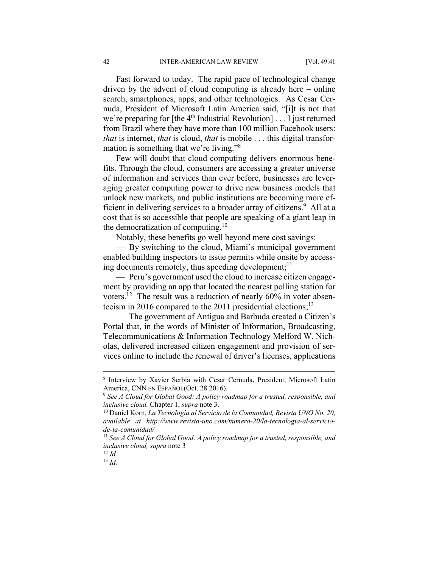Fast forward to today. The rapid pace of technological change driven by the advent of cloud computing is already here – online search, smartphones, apps, and other technologies. As Cesar Cernuda, President of Microsoft Latin America said, "[i]t is not that we're preparing for [the 4<sup>th</sup> Industrial Revolution] . . . I just returned from Brazil where they have more than 100 million Facebook users: *that* is internet, *that* is cloud, *that* is mobile . . . this digital transformation is something that we're living."<sup>8</sup>

Few will doubt that cloud computing delivers enormous benefits. Through the cloud, consumers are accessing a greater universe of information and services than ever before, businesses are leveraging greater computing power to drive new business models that unlock new markets, and public institutions are becoming more efficient in delivering services to a broader array of citizens.<sup>9</sup> All at a cost that is so accessible that people are speaking of a giant leap in the democratization of computing. $10$ 

Notably, these benefits go well beyond mere cost savings:

— By switching to the cloud, Miami's municipal government enabled building inspectors to issue permits while onsite by accessing documents remotely, thus speeding development; $<sup>11</sup>$ </sup>

— Peru's government used the cloud to increase citizen engagement by providing an app that located the nearest polling station for voters.12 The result was a reduction of nearly 60% in voter absenteeism in 2016 compared to the 2011 presidential elections;<sup>13</sup>

— The government of Antigua and Barbuda created a Citizen's Portal that, in the words of Minister of Information, Broadcasting, Telecommunications & Information Technology Melford W. Nicholas, delivered increased citizen engagement and provision of services online to include the renewal of driver's licenses, applications

<sup>8</sup> Interview by Xavier Serbia with Cesar Cernuda, President, Microsoft Latin America, CNN EN ESPAÑOL(Oct. 28 2016).<br><sup>9</sup> See A Cloud for Global Good: A policy roadmap for a trusted, responsible, and

*inclusive cloud.* Chapter 1, *supra* note 3. 10 Daniel Korn*, La Tecnología al Servicio de la Comunidad, Revista UNO No. 20,* 

*available at http://www.revista-uno.com/numero-20/la-tecnologia-al-serviciode-la-comunidad/* 

<sup>&</sup>lt;sup>11</sup> See A Cloud for Global Good: A policy roadmap for a trusted, responsible, and *inclusive cloud, supra* note 3

<sup>12</sup> *Id.*

<sup>13</sup> *Id.*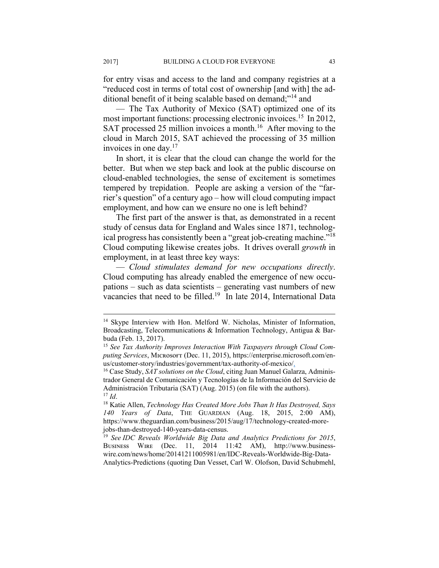for entry visas and access to the land and company registries at a "reduced cost in terms of total cost of ownership [and with] the additional benefit of it being scalable based on demand;"14 and

— The Tax Authority of Mexico (SAT) optimized one of its most important functions: processing electronic invoices.<sup>15</sup> In 2012, SAT processed 25 million invoices a month.<sup>16</sup> After moving to the cloud in March 2015, SAT achieved the processing of 35 million invoices in one day.17

In short, it is clear that the cloud can change the world for the better. But when we step back and look at the public discourse on cloud-enabled technologies, the sense of excitement is sometimes tempered by trepidation. People are asking a version of the "farrier's question" of a century ago – how will cloud computing impact employment, and how can we ensure no one is left behind?

The first part of the answer is that, as demonstrated in a recent study of census data for England and Wales since 1871, technological progress has consistently been a "great job-creating machine."18 Cloud computing likewise creates jobs. It drives overall *growth* in employment, in at least three key ways:

— *Cloud stimulates demand for new occupations directly*. Cloud computing has already enabled the emergence of new occupations – such as data scientists – generating vast numbers of new vacancies that need to be filled.<sup>19</sup> In late 2014, International Data

<sup>&</sup>lt;sup>14</sup> Skype Interview with Hon. Melford W. Nicholas, Minister of Information, Broadcasting, Telecommunications & Information Technology, Antigua & Barbuda (Feb. 13, 2017).

<sup>15</sup> *See Tax Authority Improves Interaction With Taxpayers through Cloud Com*puting Services, MICROSOFT (Dec. 11, 2015), https://enterprise.microsoft.com/enus/customer-story/industries/government/tax-authority-of-mexico/.

<sup>16</sup> Case Study, *SAT solutions on the Cloud*, citing Juan Manuel Galarza, Administrador General de Comunicación y Tecnologías de la Información del Servicio de Administración Tributaria (SAT) (Aug. 2015) (on file with the authors).<br><sup>17</sup> *Id.* 18 Katie Allen, *Technology Has Created More Jobs Than It Has Destroyed, Says* 

*<sup>140</sup> Years of Data*, THE GUARDIAN (Aug. 18, 2015, 2:00 AM), https://www.theguardian.com/business/2015/aug/17/technology-created-morejobs-than-destroyed-140-years-data-census.

<sup>19</sup> *See IDC Reveals Worldwide Big Data and Analytics Predictions for 2015*, BUSINESS WIRE (Dec. 11, 2014 11:42 AM), http://www.businesswire.com/news/home/20141211005981/en/IDC-Reveals-Worldwide-Big-Data-Analytics-Predictions (quoting Dan Vesset, Carl W. Olofson, David Schubmehl,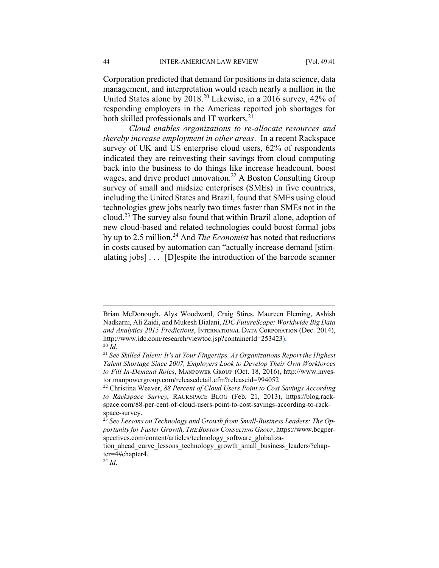Corporation predicted that demand for positions in data science, data management, and interpretation would reach nearly a million in the United States alone by 2018.20 Likewise, in a 2016 survey, 42% of responding employers in the Americas reported job shortages for both skilled professionals and IT workers.<sup>21</sup>

— *Cloud enables organizations to re-allocate resources and thereby increase employment in other areas*. In a recent Rackspace survey of UK and US enterprise cloud users, 62% of respondents indicated they are reinvesting their savings from cloud computing back into the business to do things like increase headcount, boost wages, and drive product innovation.<sup>22</sup> A Boston Consulting Group survey of small and midsize enterprises (SMEs) in five countries, including the United States and Brazil, found that SMEs using cloud technologies grew jobs nearly two times faster than SMEs not in the cloud.23 The survey also found that within Brazil alone, adoption of new cloud-based and related technologies could boost formal jobs by up to 2.5 million.<sup>24</sup> And *The Economist* has noted that reductions in costs caused by automation can "actually increase demand [stimulating jobs] . . . [D]espite the introduction of the barcode scanner

Brian McDonough, Alys Woodward, Craig Stires, Maureen Fleming, Ashish Nadkarni, Ali Zaidi, and Mukesh Dialani, *IDC FutureScape: Worldwide Big Data and Analytics 2015 Predictions*, Iɴᴛᴇʀɴᴀᴛɪᴏɴᴀʟ Dᴀᴛᴀ Cᴏʀᴘᴏʀᴀᴛɪᴏɴ (Dec. 2014), http://www.idc.com/research/viewtoc.jsp?containerId=253423).<br><sup>20</sup> *Id.* 21 *See Skilled Talent: It's at Your Fingertips. As Organizations Report the Highest* <sup>21</sup>

*Talent Shortage Since 2007, Employers Look to Develop Their Own Workforces to Fill In-Demand Roles*, Mᴀɴᴘᴏᴡᴇʀ Gʀᴏᴜᴘ (Oct. 18, 2016), http://www.investor.manpowergroup.com/releasedetail.cfm?releaseid=994052

<sup>22</sup> Christina Weaver, *88 Percent of Cloud Users Point to Cost Savings According to Rackspace Survey*, RACKSPACE BLOG (Feb. 21, 2013), https://blog.rackspace.com/88-per-cent-of-cloud-users-point-to-cost-savings-according-to-rackspace-survey.

<sup>23</sup> *See Lessons on Technology and Growth from Small-Business Leaders: The Opportunity for Faster Growth, THE Bᴏsᴛᴏɴ Cᴏɴsᴜʟᴛɪɴɢ Gʀᴏᴜᴘ*, https://www.bcgperspectives.com/content/articles/technology\_software\_globaliza-

tion ahead curve lessons technology growth small business leaders/?chapter=4#chapter4.

<sup>24</sup> *Id*.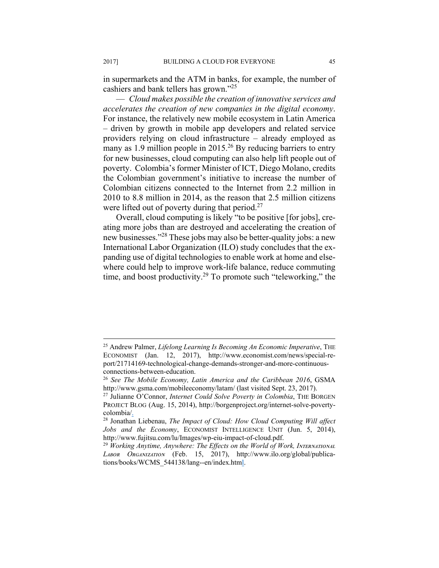in supermarkets and the ATM in banks, for example, the number of cashiers and bank tellers has grown."<sup>25</sup>

— *Cloud makes possible the creation of innovative services and accelerates the creation of new companies in the digital economy*. For instance, the relatively new mobile ecosystem in Latin America – driven by growth in mobile app developers and related service providers relying on cloud infrastructure – already employed as many as 1.9 million people in 2015.<sup>26</sup> By reducing barriers to entry for new businesses, cloud computing can also help lift people out of poverty. Colombia's former Minister of ICT, Diego Molano, credits the Colombian government's initiative to increase the number of Colombian citizens connected to the Internet from 2.2 million in 2010 to 8.8 million in 2014, as the reason that 2.5 million citizens were lifted out of poverty during that period.<sup>27</sup>

Overall, cloud computing is likely "to be positive [for jobs], creating more jobs than are destroyed and accelerating the creation of new businesses."28 These jobs may also be better-quality jobs: a new International Labor Organization (ILO) study concludes that the expanding use of digital technologies to enable work at home and elsewhere could help to improve work-life balance, reduce commuting time, and boost productivity.<sup>29</sup> To promote such "teleworking," the

<sup>25</sup> Andrew Palmer, *Lifelong Learning Is Becoming An Economic Imperative*, THE ECONOMIST (Jan. 12, 2017), http://www.economist.com/news/special-report/21714169-technological-change-demands-stronger-and-more-continuousconnections-between-education.

<sup>26</sup> *See The Mobile Economy, Latin America and the Caribbean 2016*, GSMA http://www.gsma.com/mobileeconomy/latam/ (last visited Sept. 23, 2017). 27 Julianne O'Connor, *Internet Could Solve Poverty in Colombia*, THE BORGEN

PROJECT BLOG (Aug. 15, 2014), http://borgenproject.org/internet-solve-povertycolombia/.

<sup>28</sup> Jonathan Liebenau, *The Impact of Cloud: How Cloud Computing Will affect Jobs and the Economy*, ECONOMIST INTELLIGENCE UNIT (Jun. 5, 2014), http://www.fujitsu.com/lu/Images/wp-eiu-impact-of-cloud.pdf.

<sup>&</sup>lt;sup>29</sup> Working Anytime, Anywhere: The Effects on the World of Work, INTERNATIONAL *Lᴀʙᴏʀ Oʀɢᴀɴɪᴢᴀᴛɪᴏɴ* (Feb. 15, 2017), http://www.ilo.org/global/publications/books/WCMS\_544138/lang--en/index.html.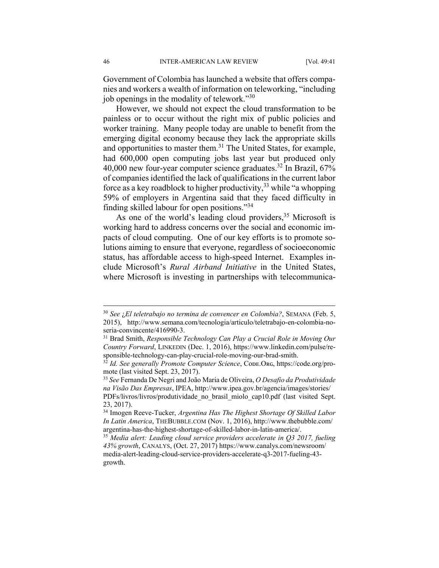Government of Colombia has launched a website that offers companies and workers a wealth of information on teleworking, "including job openings in the modality of telework."30

However, we should not expect the cloud transformation to be painless or to occur without the right mix of public policies and worker training. Many people today are unable to benefit from the emerging digital economy because they lack the appropriate skills and opportunities to master them.<sup>31</sup> The United States, for example, had 600,000 open computing jobs last year but produced only 40,000 new four-year computer science graduates.32 In Brazil, 67% of companies identified the lack of qualifications in the current labor force as a key roadblock to higher productivity,  $33$  while "a whopping" 59% of employers in Argentina said that they faced difficulty in finding skilled labour for open positions."34

As one of the world's leading cloud providers,  $35$  Microsoft is working hard to address concerns over the social and economic impacts of cloud computing. One of our key efforts is to promote solutions aiming to ensure that everyone, regardless of socioeconomic status, has affordable access to high-speed Internet. Examples include Microsoft's *Rural Airband Initiative* in the United States, where Microsoft is investing in partnerships with telecommunica-

<sup>30</sup> *See* ¿*El teletrabajo no termina de convencer en Colombia?*, SEMANA (Feb. 5, 2015), http://www.semana.com/tecnologia/articulo/teletrabajo-en-colombia-noseria-convincente/416990-3.

<sup>31</sup> Brad Smith, *Responsible Technology Can Play a Crucial Role in Moving Our Country Forward*, LINKEDIN (Dec. 1, 2016), https://www.linkedin.com/pulse/responsible-technology-can-play-crucial-role-moving-our-brad-smith.

<sup>&</sup>lt;sup>32</sup> *Id. See generally Promote Computer Science*, Cope.Org, https://code.org/promote (last visited Sept. 23, 2017).

<sup>33</sup> *See* Fernanda De Negri and João Maria de Oliveira, *O Desafio da Produtividade na Visão Das Empresas*, IPEA, http://www.ipea.gov.br/agencia/images/stories/ PDFs/livros/livros/produtividade\_no\_brasil\_miolo\_cap10.pdf (last visited Sept. 23, 2017).

<sup>34</sup> Imogen Reeve-Tucker, *Argentina Has The Highest Shortage Of Skilled Labor In Latin America*, THEBUBBLE.COM (Nov. 1, 2016), http://www.thebubble.com/

argentina-has-the-highest-shortage-of-skilled-labor-in-latin-america/. 35 *Media alert: Leading cloud service providers accelerate in Q3 2017, fueling 43% growth*, CANALYS, (Oct. 27, 2017) https://www.canalys.com/newsroom/ media-alert-leading-cloud-service-providers-accelerate-q3-2017-fueling-43 growth.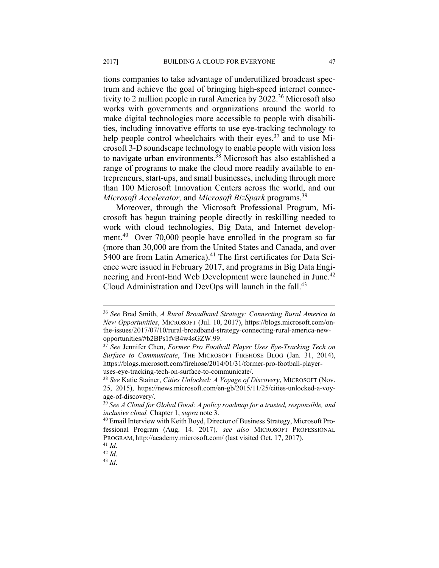tions companies to take advantage of underutilized broadcast spectrum and achieve the goal of bringing high-speed internet connectivity to 2 million people in rural America by 2022.<sup>36</sup> Microsoft also works with governments and organizations around the world to make digital technologies more accessible to people with disabilities, including innovative efforts to use eye-tracking technology to help people control wheelchairs with their eyes,  $37$  and to use Microsoft 3-D soundscape technology to enable people with vision loss to navigate urban environments.<sup>38</sup> Microsoft has also established a range of programs to make the cloud more readily available to entrepreneurs, start-ups, and small businesses, including through more than 100 Microsoft Innovation Centers across the world, and our *Microsoft Accelerator,* and *Microsoft BizSpark* programs.39

Moreover, through the Microsoft Professional Program, Microsoft has begun training people directly in reskilling needed to work with cloud technologies, Big Data, and Internet development.<sup>40</sup> Over 70,000 people have enrolled in the program so far (more than 30,000 are from the United States and Canada, and over 5400 are from Latin America).<sup>41</sup> The first certificates for Data Science were issued in February 2017, and programs in Big Data Engineering and Front-End Web Development were launched in June.<sup>42</sup> Cloud Administration and DevOps will launch in the fall.<sup>43</sup>

<sup>36</sup> *See* Brad Smith, *A Rural Broadband Strategy: Connecting Rural America to New Opportunities*, MICROSOFT (Jul. 10, 2017), https://blogs.microsoft.com/onthe-issues/2017/07/10/rural-broadband-strategy-connecting-rural-america-newopportunities/#b2BPs1fvB4w4sGZW.99.

<sup>37</sup> *See* Jennifer Chen, *Former Pro Football Player Uses Eye-Tracking Tech on Surface to Communicate*, THE MICROSOFT FIREHOSE BLOG (Jan. 31, 2014), https://blogs.microsoft.com/firehose/2014/01/31/former-pro-football-player-

uses-eye-tracking-tech-on-surface-to-communicate/. 38 *See* Katie Stainer, *Cities Unlocked: A Voyage of Discovery*, MICROSOFT (Nov. 25, 2015), https://news.microsoft.com/en-gb/2015/11/25/cities-unlocked-a-voyage-of-discovery/.

<sup>39</sup> *See A Cloud for Global Good: A policy roadmap for a trusted, responsible, and inclusive cloud.* Chapter 1, *supra* note 3.<br><sup>40</sup> Email Interview with Keith Boyd, Director of Business Strategy, Microsoft Pro-

fessional Program (Aug. 14. 2017)*; see also* MICROSOFT PROFESSIONAL PROGRAM, http://academy.microsoft.com/ (last visited Oct. 17, 2017).<br><sup>41</sup> *Id.* 42 *Id.* 43 *Id.*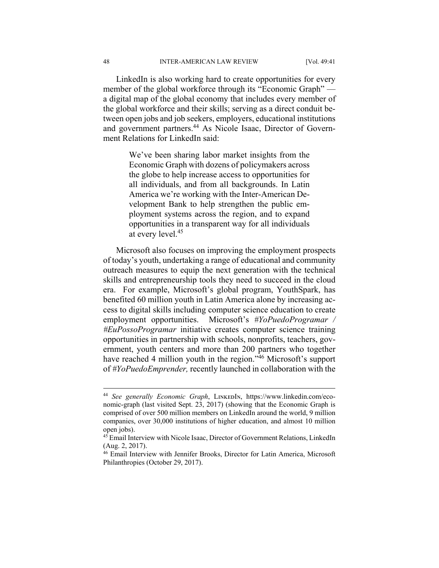LinkedIn is also working hard to create opportunities for every member of the global workforce through its "Economic Graph" a digital map of the global economy that includes every member of the global workforce and their skills; serving as a direct conduit between open jobs and job seekers, employers, educational institutions and government partners.44 As Nicole Isaac, Director of Government Relations for LinkedIn said:

> We've been sharing labor market insights from the Economic Graph with dozens of policymakers across the globe to help increase access to opportunities for all individuals, and from all backgrounds. In Latin America we're working with the Inter-American Development Bank to help strengthen the public employment systems across the region, and to expand opportunities in a transparent way for all individuals at every level.45

Microsoft also focuses on improving the employment prospects of today's youth, undertaking a range of educational and community outreach measures to equip the next generation with the technical skills and entrepreneurship tools they need to succeed in the cloud era. For example, Microsoft's global program, YouthSpark, has benefited 60 million youth in Latin America alone by increasing access to digital skills including computer science education to create employment opportunities. Microsoft's *#YoPuedoProgramar / #EuPossoProgramar* initiative creates computer science training opportunities in partnership with schools, nonprofits, teachers, government, youth centers and more than 200 partners who together have reached 4 million youth in the region.<sup>46</sup> Microsoft's support of *#YoPuedoEmprender,* recently launched in collaboration with the

<sup>&</sup>lt;sup>44</sup> See generally Economic Graph, LINKEDIN, https://www.linkedin.com/economic-graph (last visited Sept. 23, 2017) (showing that the Economic Graph is comprised of over 500 million members on LinkedIn around the world, 9 million companies, over 30,000 institutions of higher education, and almost 10 million open jobs).

<sup>45</sup> Email Interview with Nicole Isaac, Director of Government Relations, LinkedIn (Aug. 2, 2017).

<sup>&</sup>lt;sup>46</sup> Email Interview with Jennifer Brooks, Director for Latin America, Microsoft Philanthropies (October 29, 2017).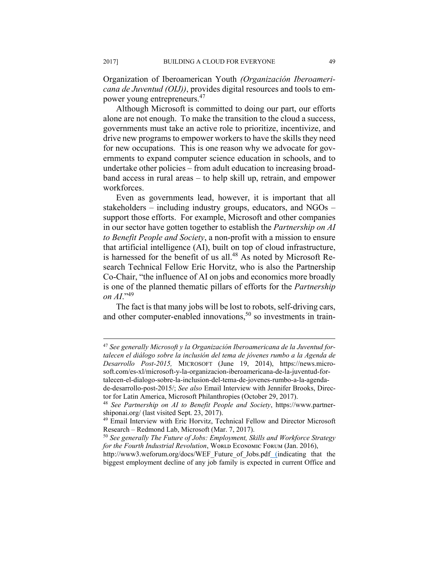Organization of Iberoamerican Youth *(Organización Iberoamericana de Juventud (OIJ))*, provides digital resources and tools to empower young entrepreneurs.47

Although Microsoft is committed to doing our part, our efforts alone are not enough. To make the transition to the cloud a success, governments must take an active role to prioritize, incentivize, and drive new programs to empower workers to have the skills they need for new occupations. This is one reason why we advocate for governments to expand computer science education in schools, and to undertake other policies – from adult education to increasing broadband access in rural areas – to help skill up, retrain, and empower workforces.

Even as governments lead, however, it is important that all stakeholders – including industry groups, educators, and NGOs – support those efforts. For example, Microsoft and other companies in our sector have gotten together to establish the *Partnership on AI to Benefit People and Society*, a non-profit with a mission to ensure that artificial intelligence (AI), built on top of cloud infrastructure, is harnessed for the benefit of us all.<sup>48</sup> As noted by Microsoft Research Technical Fellow Eric Horvitz, who is also the Partnership Co-Chair, "the influence of AI on jobs and economics more broadly is one of the planned thematic pillars of efforts for the *Partnership on AI*."<sup>49</sup>

The fact is that many jobs will be lost to robots, self-driving cars, and other computer-enabled innovations,<sup>50</sup> so investments in train-

de-desarrollo-post-2015/; *See also* Email Interview with Jennifer Brooks, Director for Latin America, Microsoft Philanthropies (October 29, 2017). 48 *See Partnership on AI to Benefit People and Society*, https://www.partner-

1

<sup>47</sup> *See generally Microsoft y la Organización Iberoamericana de la Juventud fortalecen el diálogo sobre la inclusión del tema de jóvenes rumbo a la Agenda de Desarrollo Post-2015,* MICROSOFT (June 19, 2014), https://news.microsoft.com/es-xl/microsoft-y-la-organizacion-iberoamericana-de-la-juventud-fortalecen-el-dialogo-sobre-la-inclusion-del-tema-de-jovenes-rumbo-a-la-agenda-

shiponai.org/ (last visited Sept. 23, 2017).

<sup>49</sup> Email Interview with Eric Horvitz, Technical Fellow and Director Microsoft Research – Redmond Lab, Microsoft (Mar. 7, 2017).

<sup>50</sup> *See generally The Future of Jobs: Employment, Skills and Workforce Strategy for the Fourth Industrial Revolution*, WORLD ECONOMIC FORUM (Jan. 2016),

http://www3.weforum.org/docs/WEF\_Future\_of\_Jobs.pdf (indicating that the biggest employment decline of any job family is expected in current Office and